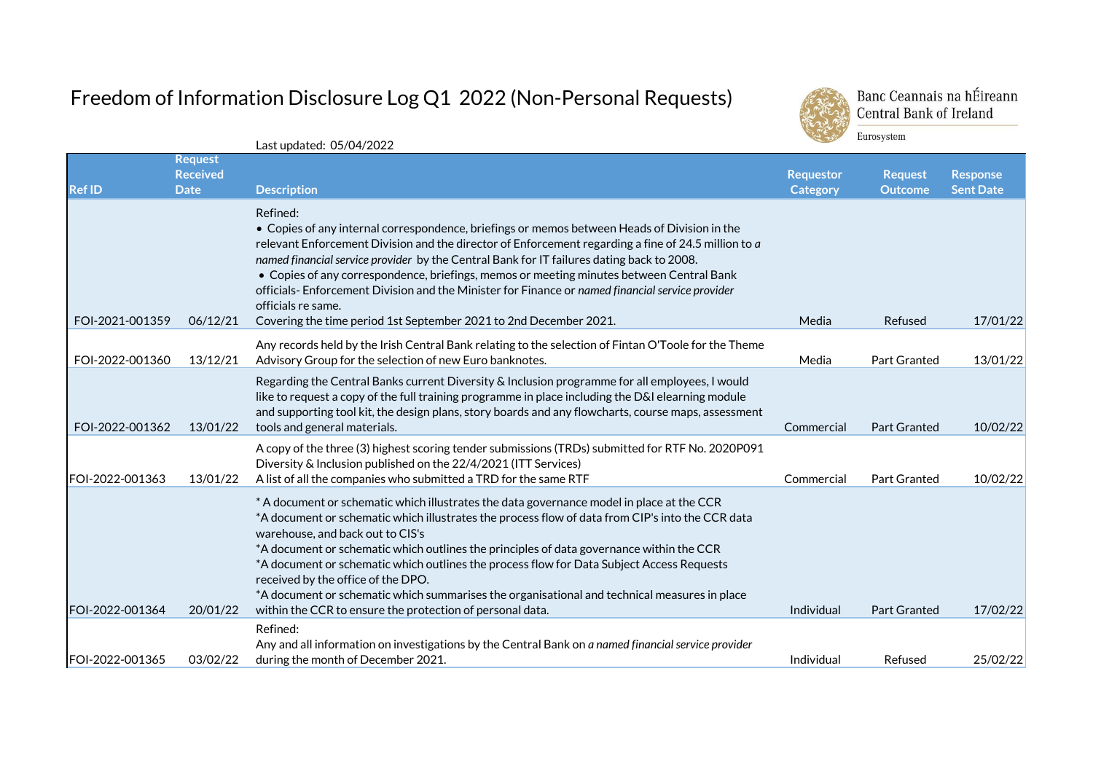## Freedom of Information Disclosure Log Q1 2022 (Non-Personal Requests)



Banc Ceannais na hÉireann **Central Bank of Ireland** Eurosystem

**Ref ID Request Received Date Description Requestor Category Request Outcome Response Sent Date** FOI-2021-001359 06/12/21 Refined: • Copies of any internal correspondence, briefings or memos between Heads of Division in the relevant Enforcement Division and the director of Enforcement regarding a fine of 24.5 million to *a named financial service provider* by the Central Bank for IT failures dating back to 2008. • Copies of any correspondence, briefings, memos or meeting minutes between Central Bank officials- Enforcement Division and the Minister for Finance or *named financial service provider*  officials re same. Covering the time period 1st September 2021 to 2nd December 2021. Nedla Refused Refused 17/01/22 FOI-2022-001360 13/12/21 Any records held by the Irish Central Bank relating to the selection of Fintan O'Toole for the Theme Advisory Group for the selection of new Euro banknotes. The Maximum of the Media Part Granted 13/01/22 FOI-2022-001362 13/01/22 Regarding the Central Banks current Diversity & Inclusion programme for all employees, I would like to request a copy of the full training programme in place including the D&I elearning module and supporting tool kit, the design plans, story boards and any flowcharts, course maps, assessment tools and general materials. Commercial Part Granted 10/02/22 FOI-2022-001363 13/01/22 A copy of the three (3) highest scoring tender submissions (TRDs) submitted for RTF No. 2020P091 Diversity & Inclusion published on the 22/4/2021 (ITT Services) A list of all the companies who submitted a TRD for the same RTF Commercial Part Granted 10/02/22 FOI-2022-001364 20/01/22 \* A document or schematic which illustrates the data governance model in place at the CCR \*A document or schematic which illustrates the process flow of data from CIP's into the CCR data warehouse, and back out to CIS's \*A document or schematic which outlines the principles of data governance within the CCR \*A document or schematic which outlines the process flow for Data Subject Access Requests received by the office of the DPO. \*A document or schematic which summarises the organisational and technical measures in place within the CCR to ensure the protection of personal data. Individual Part Granted 17/02/22 FOI-2022-001365 03/02/22 Refined: Any and all information on investigations by the Central Bank on *a named financial service provider*  during the month of December 2021. The month of December 2021.

Last updated: 05/04/2022